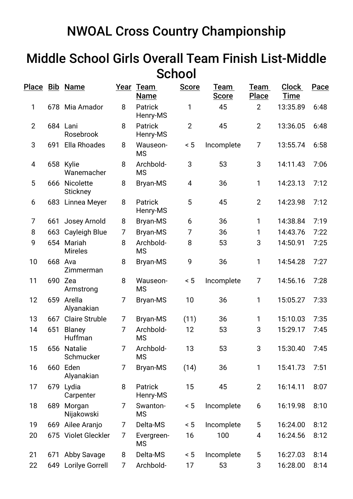## NWOAL Cross Country Championship

## Middle School Girls Overall Team Finish List-Middle **School**

|                          |     | Place Bib Name                   |   | Year Team<br><b>Name</b>   | <b>Score</b>   | Team<br><b>Score</b> | Team<br><b>Place</b> | <b>Clock</b><br><b>Time</b> | Pace |
|--------------------------|-----|----------------------------------|---|----------------------------|----------------|----------------------|----------------------|-----------------------------|------|
| 1                        |     | 678 Mia Amador                   | 8 | <b>Patrick</b><br>Henry-MS | 1              | 45                   | $\overline{2}$       | 13:35.89                    | 6:48 |
| $\overline{2}$           |     | 684 Lani<br>Rosebrook            | 8 | Patrick<br>Henry-MS        | $\overline{2}$ | 45                   | $\overline{2}$       | 13:36.05                    | 6:48 |
| 3                        | 691 | <b>Ella Rhoades</b>              | 8 | Wauseon-<br><b>MS</b>      | < 5            | Incomplete           | $\overline{7}$       | 13:55.74                    | 6:58 |
| $\overline{\mathcal{A}}$ |     | 658 Kylie<br>Wanemacher          | 8 | Archbold-<br><b>MS</b>     | 3              | 53                   | 3                    | 14:11.43                    | 7:06 |
| 5                        |     | 666 Nicolette<br><b>Stickney</b> | 8 | Bryan-MS                   | 4              | 36                   | 1                    | 14:23.13                    | 7:12 |
| 6                        |     | 683 Linnea Meyer                 | 8 | Patrick<br>Henry-MS        | 5              | 45                   | $\overline{2}$       | 14:23.98                    | 7:12 |
| 7                        | 661 | Josey Arnold                     | 8 | Bryan-MS                   | 6              | 36                   | 1                    | 14:38.84                    | 7:19 |
| 8                        |     | 663 Cayleigh Blue                | 7 | <b>Bryan-MS</b>            | 7              | 36                   | 1                    | 14:43.76                    | 7:22 |
| 9                        |     | 654 Mariah<br><b>Mireles</b>     | 8 | Archbold-<br><b>MS</b>     | 8              | 53                   | 3                    | 14:50.91                    | 7:25 |
| 10                       |     | 668 Ava<br>Zimmerman             | 8 | Bryan-MS                   | 9              | 36                   | 1                    | 14:54.28                    | 7:27 |
| 11                       |     | 690 Zea<br>Armstrong             | 8 | Wauseon-<br><b>MS</b>      | < 5            | Incomplete           | $\overline{7}$       | 14:56.16                    | 7:28 |
| 12                       | 659 | Arella<br>Alyanakian             | 7 | <b>Bryan-MS</b>            | 10             | 36                   | 1                    | 15:05.27                    | 7:33 |
| 13                       | 667 | <b>Claire Struble</b>            | 7 | Bryan-MS                   | (11)           | 36                   | $\mathbf{1}$         | 15:10.03                    | 7:35 |
| 14                       | 651 | Blaney<br>Huffman                | 7 | Archbold-<br><b>MS</b>     | 12             | 53                   | 3                    | 15:29.17                    | 7:45 |
| 15                       |     | 656 Natalie<br>Schmucker         | 7 | Archbold-<br><b>MS</b>     | 13             | 53                   | 3                    | 15:30.40                    | 7:45 |
| 16                       |     | 660 Eden<br>Alyanakian           | 7 | <b>Bryan-MS</b>            | (14)           | 36                   | 1                    | 15:41.73                    | 7:51 |
| 17                       | 679 | Lydia<br>Carpenter               | 8 | Patrick<br>Henry-MS        | 15             | 45                   | $\overline{2}$       | 16:14.11                    | 8:07 |
| 18                       | 689 | Morgan<br>Nijakowski             | 7 | Swanton-<br><b>MS</b>      | < 5            | Incomplete           | 6                    | 16:19.98                    | 8:10 |
| 19                       |     | 669 Ailee Aranjo                 | 7 | Delta-MS                   | < 5            | Incomplete           | 5                    | 16:24.00                    | 8:12 |
| 20                       |     | 675 Violet Gleckler              | 7 | Evergreen-<br><b>MS</b>    | 16             | 100                  | 4                    | 16:24.56                    | 8:12 |
| 21                       | 671 | Abby Savage                      | 8 | Delta-MS                   | ~< 5           | Incomplete           | 5                    | 16:27.03                    | 8:14 |
| 22                       |     | 649 Lorilye Gorrell              | 7 | Archbold-                  | 17             | 53                   | 3                    | 16:28.00                    | 8:14 |